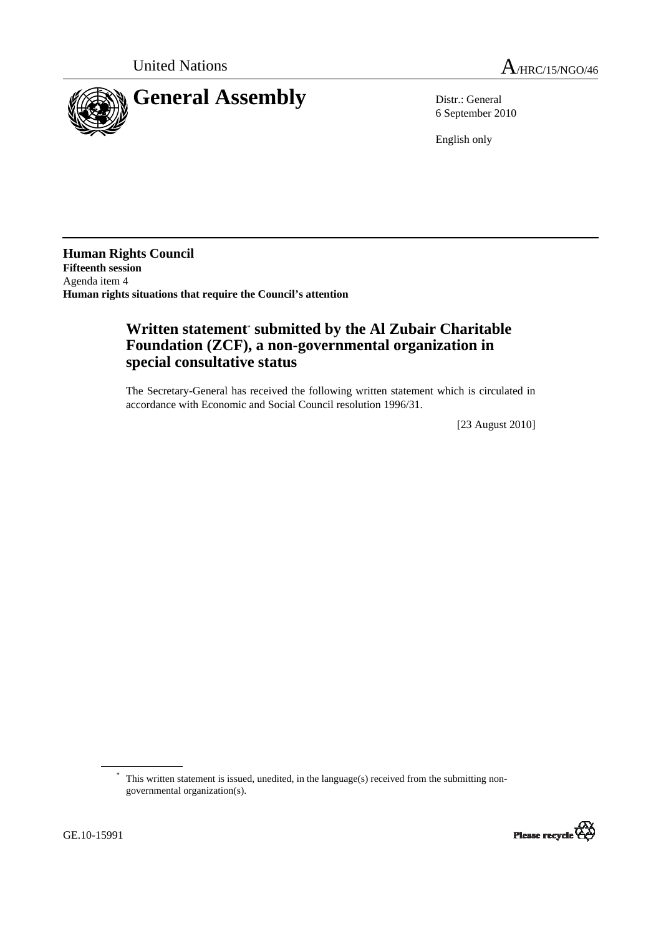



6 September 2010

English only

**Human Rights Council Fifteenth session**  Agenda item 4 **Human rights situations that require the Council's attention** 

## **Written statement**\*  **submitted by the Al Zubair Charitable Foundation (ZCF), a non-governmental organization in special consultative status**

The Secretary-General has received the following written statement which is circulated in accordance with Economic and Social Council resolution 1996/31.

[23 August 2010]

<sup>\*</sup> This written statement is issued, unedited, in the language(s) received from the submitting nongovernmental organization(s).